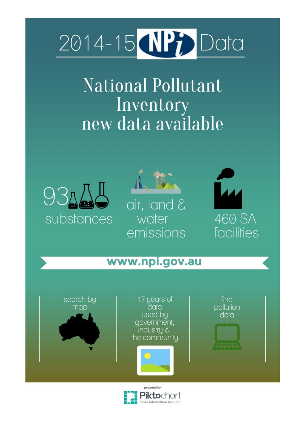# 2014-15 **NPP** Data

National Pollutant Inventory new data available







## www.npi.gov.au